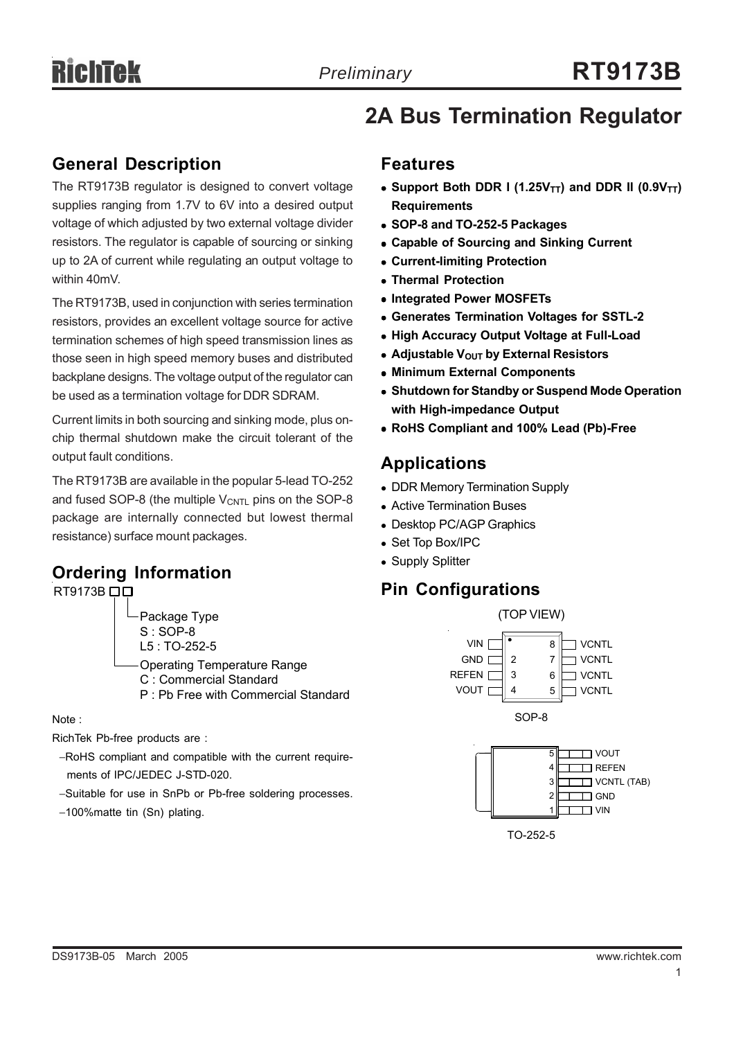#### **General Description**

The RT9173B regulator is designed to convert voltage supplies ranging from 1.7V to 6V into a desired output voltage of which adjusted by two external voltage divider resistors. The regulator is capable of sourcing or sinking up to 2A of current while regulating an output voltage to within 40mV.

The RT9173B, used in conjunction with series termination resistors, provides an excellent voltage source for active termination schemes of high speed transmission lines as those seen in high speed memory buses and distributed backplane designs. The voltage output of the regulator can be used as a termination voltage for DDR SDRAM.

Current limits in both sourcing and sinking mode, plus onchip thermal shutdown make the circuit tolerant of the output fault conditions.

The RT9173B are available in the popular 5-lead TO-252 and fused SOP-8 (the multiple  $V_{\text{CNTL}}$  pins on the SOP-8 package are internally connected but lowest thermal resistance) surface mount packages.

## **Ordering Information**



Operating Temperature Range C : Commercial Standard P : Pb Free with Commercial Standard

Note :

RichTek Pb-free products are :

- −RoHS compliant and compatible with the current require ments of IPC/JEDEC J-STD-020.
- −Suitable for use in SnPb or Pb-free soldering processes.
- −100%matte tin (Sn) plating.

# **2A Bus Termination Regulator**

#### **Features**

- Support Both DDR I (1.25V<sub>TT</sub>) and DDR II (0.9V<sub>TT</sub>) **Requirements**
- <sup>z</sup> **SOP-8 and TO-252-5 Packages**
- **Capable of Sourcing and Sinking Current**
- **Current-limiting Protection**
- <sup>z</sup> **Thermal Protection**
- $\bullet$  **Integrated Power MOSFETs**
- **Generates Termination Voltages for SSTL-2**
- **High Accuracy Output Voltage at Full-Load**
- **Adjustable V<sub>OUT</sub> by External Resistors**
- **Minimum External Components**
- **Shutdown for Standby or Suspend Mode Operation with High-impedance Output**
- <sup>z</sup> **RoHS Compliant and 100% Lead (Pb)-Free**

## **Applications**

- DDR Memory Termination Supply
- Active Termination Buses
- Desktop PC/AGP Graphics
- Set Top Box/IPC
- Supply Splitter

## **Pin Configurations**



TO-252-5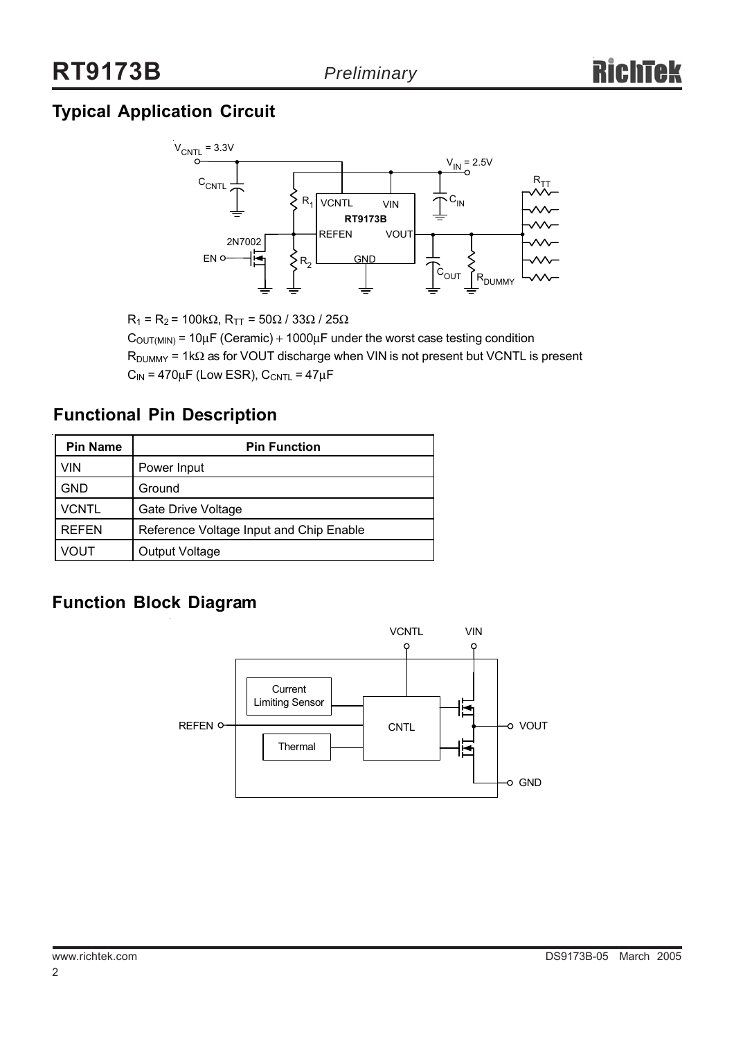# **Typical Application Circuit**



 $R_1$  =  $R_2$  = 100kΩ,  $R_{TT}$  = 50Ω / 33Ω / 25Ω

 $C_{\text{OUT(MIN)}}$  = 10 $\mu$ F (Ceramic) + 1000 $\mu$ F under the worst case testing condition  $R_{\text{DUMMY}}$  = 1k $\Omega$  as for VOUT discharge when VIN is not present but VCNTL is present  $C_{IN}$  = 470 $\mu$ F (Low ESR),  $C_{CNTL}$  = 47 $\mu$ F

## **Functional Pin Description**

| <b>Pin Name</b> | <b>Pin Function</b>                     |  |  |
|-----------------|-----------------------------------------|--|--|
| VIN             | Power Input                             |  |  |
| <b>GND</b>      | Ground                                  |  |  |
| <b>VCNTL</b>    | <b>Gate Drive Voltage</b>               |  |  |
| <b>REFEN</b>    | Reference Voltage Input and Chip Enable |  |  |
| VOUT            | <b>Output Voltage</b>                   |  |  |

## **Function Block Diagram**

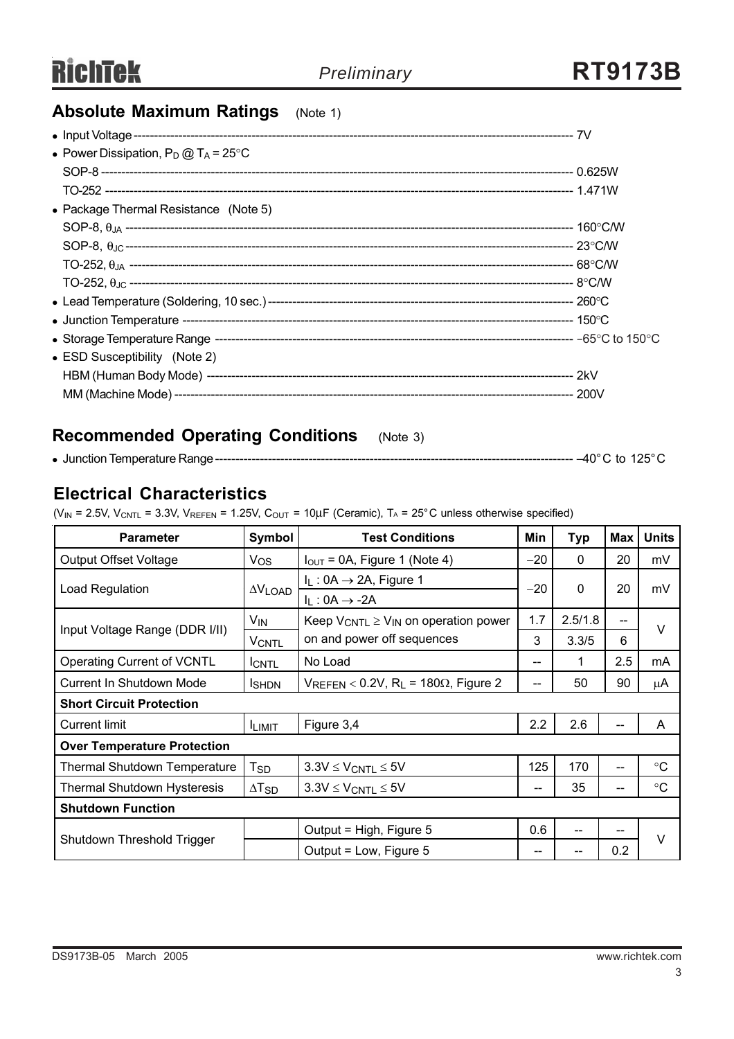# **Absolute Maximum Ratings** (Note 1)

| • Power Dissipation, $P_D @ T_A = 25^{\circ}C$ |  |
|------------------------------------------------|--|
|                                                |  |
|                                                |  |
| • Package Thermal Resistance (Note 5)          |  |
|                                                |  |
|                                                |  |
|                                                |  |
|                                                |  |
|                                                |  |
|                                                |  |
|                                                |  |
| • ESD Susceptibility (Note 2)                  |  |
|                                                |  |
|                                                |  |

# **Recommended Operating Conditions** (Note 3)

| • Junction Temperature Range |  | to | $125^\circ$ ( |  |
|------------------------------|--|----|---------------|--|
|------------------------------|--|----|---------------|--|

## **Electrical Characteristics**

( $V_{IN}$  = 2.5V,  $V_{CNTL}$  = 3.3V,  $V_{REFEN}$  = 1.25V,  $C_{OUT}$  = 10 $\mu$ F (Ceramic), T<sub>A</sub> = 25°C unless otherwise specified)

| <b>Parameter</b>                   | Symbol                              | <b>Test Conditions</b>                                       |       | <b>Typ</b>   | <b>Max</b> | <b>Units</b>    |  |
|------------------------------------|-------------------------------------|--------------------------------------------------------------|-------|--------------|------------|-----------------|--|
| <b>Output Offset Voltage</b>       | $V_{OS}$                            | $I_{\text{OUT}}$ = 0A, Figure 1 (Note 4)                     |       | $\Omega$     | 20         | mV              |  |
| Load Regulation                    |                                     | $I_L$ : 0A $\rightarrow$ 2A, Figure 1                        | $-20$ | $\mathbf{0}$ | 20         | mV              |  |
|                                    | $\Delta V_{\text{LOAD}}$            | $I_L: 0A \rightarrow -2A$                                    |       |              |            |                 |  |
| Input Voltage Range (DDR I/II)     | V <sub>IN</sub>                     | Keep $V_{CNTL} \geq V_{IN}$ on operation power               | 1.7   | 2.5/1.8      | --         | $\vee$          |  |
|                                    | <b>VCNTL</b>                        | on and power off sequences                                   |       | 3.3/5        | 6          |                 |  |
| <b>Operating Current of VCNTL</b>  | <b>ICNTL</b>                        | No Load                                                      | --    | 1            | 2.5        | mA              |  |
| Current In Shutdown Mode           | <b>I</b> SHDN                       | $V_{REFEN}$ < 0.2V, R <sub>L</sub> = 180 $\Omega$ , Figure 2 | --    | 50           | 90         | μA              |  |
| <b>Short Circuit Protection</b>    |                                     |                                                              |       |              |            |                 |  |
| <b>Current limit</b>               | <b>ILIMIT</b>                       | Figure 3,4                                                   | 2.2   | 2.6          | --         | A               |  |
| <b>Over Temperature Protection</b> |                                     |                                                              |       |              |            |                 |  |
| Thermal Shutdown Temperature       | $3.3V \leq V_{CNTL} \leq 5V$<br>Tsp |                                                              | 125   | 170          | --         | $\rm ^{\circ}C$ |  |
| Thermal Shutdown Hysteresis        | $\Delta$ T <sub>SD</sub>            | $3.3V \leq V_{CNTL} \leq 5V$                                 | --    | 35           | --         | $^{\circ}C$     |  |
| <b>Shutdown Function</b>           |                                     |                                                              |       |              |            |                 |  |
|                                    |                                     | Output = High, Figure 5                                      | 0.6   | --           | --         | $\vee$          |  |
| Shutdown Threshold Trigger         |                                     | Output = Low, Figure 5                                       | --    | --           | 0.2        |                 |  |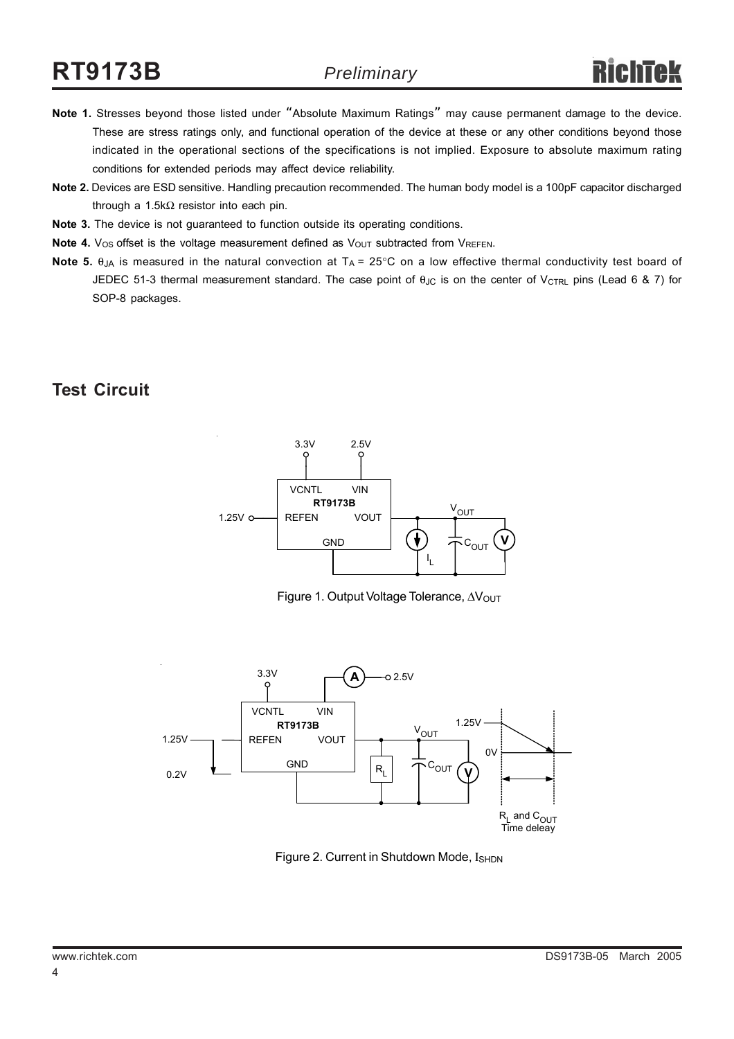# **RT9173B**

- **Note 1.** Stresses beyond those listed under "Absolute Maximum Ratings" may cause permanent damage to the device. These are stress ratings only, and functional operation of the device at these or any other conditions beyond those indicated in the operational sections of the specifications is not implied. Exposure to absolute maximum rating conditions for extended periods may affect device reliability.
- **Note 2.** Devices are ESD sensitive. Handling precaution recommended. The human body model is a 100pF capacitor discharged through a 1.5kΩ resistor into each pin.
- **Note 3.** The device is not guaranteed to function outside its operating conditions.
- **Note 4.** V<sub>OS</sub> offset is the voltage measurement defined as V<sub>OUT</sub> subtracted from VREFEN.
- **Note 5.** θ<sub>JA</sub> is measured in the natural convection at T<sub>A</sub> = 25°C on a low effective thermal conductivity test board of JEDEC 51-3 thermal measurement standard. The case point of θ<sub>JC</sub> is on the center of V<sub>CTRL</sub> pins (Lead 6 & 7) for SOP-8 packages.

#### **Test Circuit**



Figure 1. Output Voltage Tolerance, ∆V<sub>OUT</sub>



Figure 2. Current in Shutdown Mode, I<sub>SHDN</sub>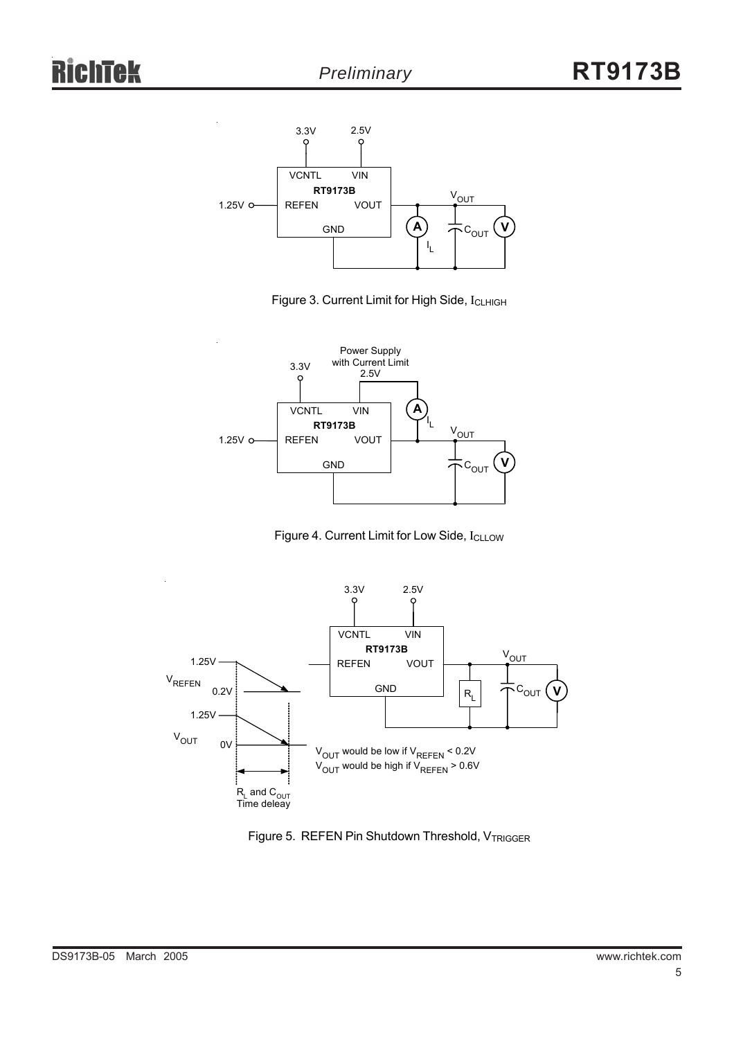





Figure 4. Current Limit for Low Side, I<sub>CLLOW</sub>



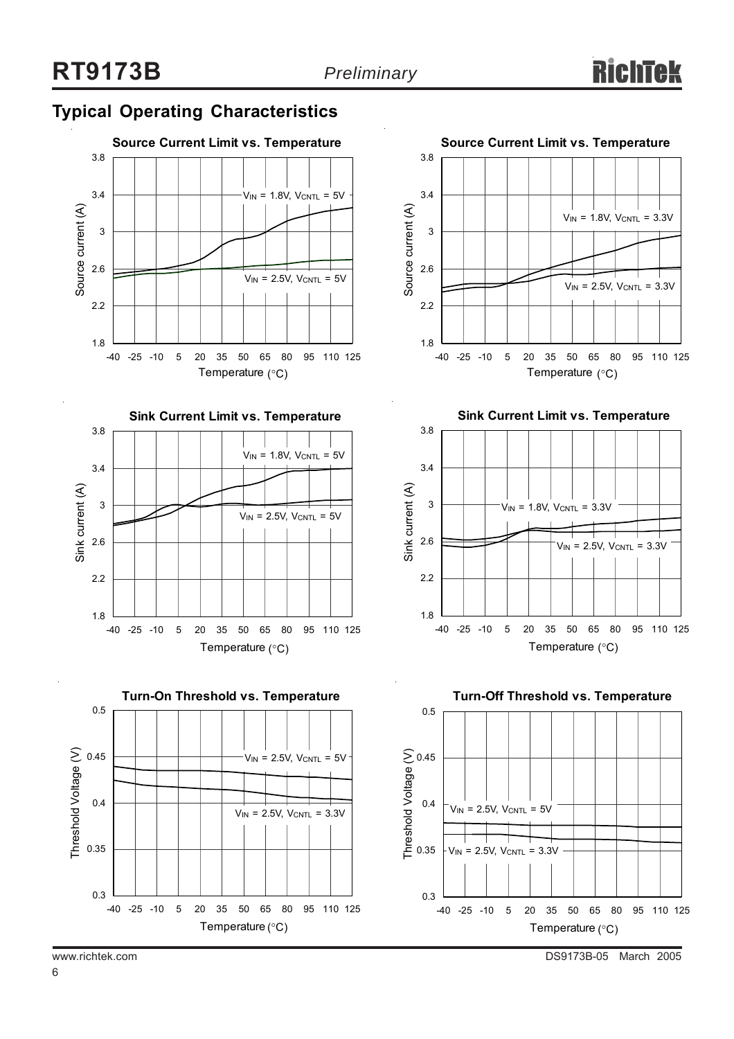# **Typical Operating Characteristics**









**Sink Current Limit vs. Temperature**



**Turn-Off Threshold vs. Temperature**

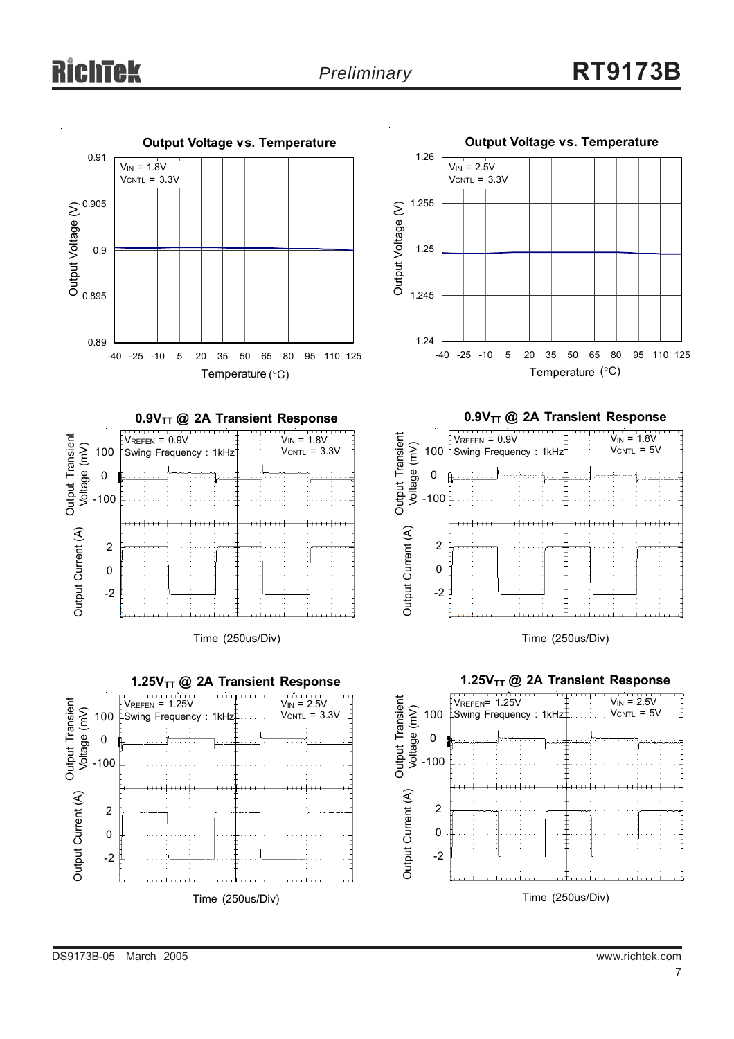



Time (250us/Div)





Temperature (°C)

**0.9VTT @ 2A Transient Response**



Time (250us/Div)



 $V_{IN}$  = 2.5V  $V_{CNTL} = 5V$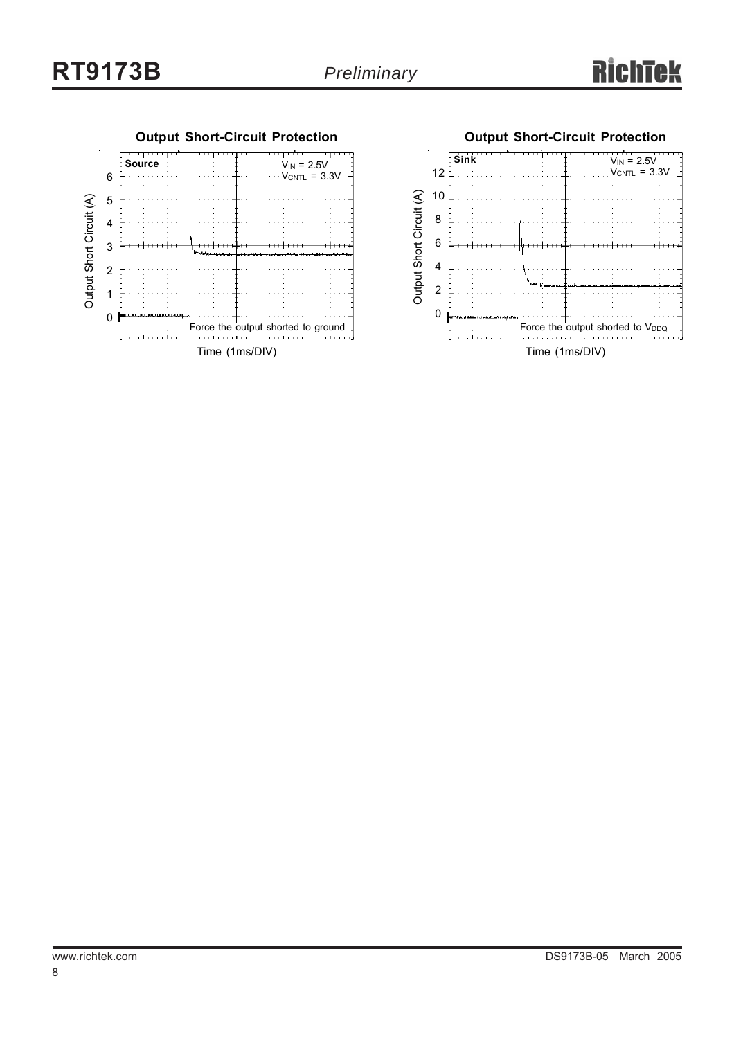

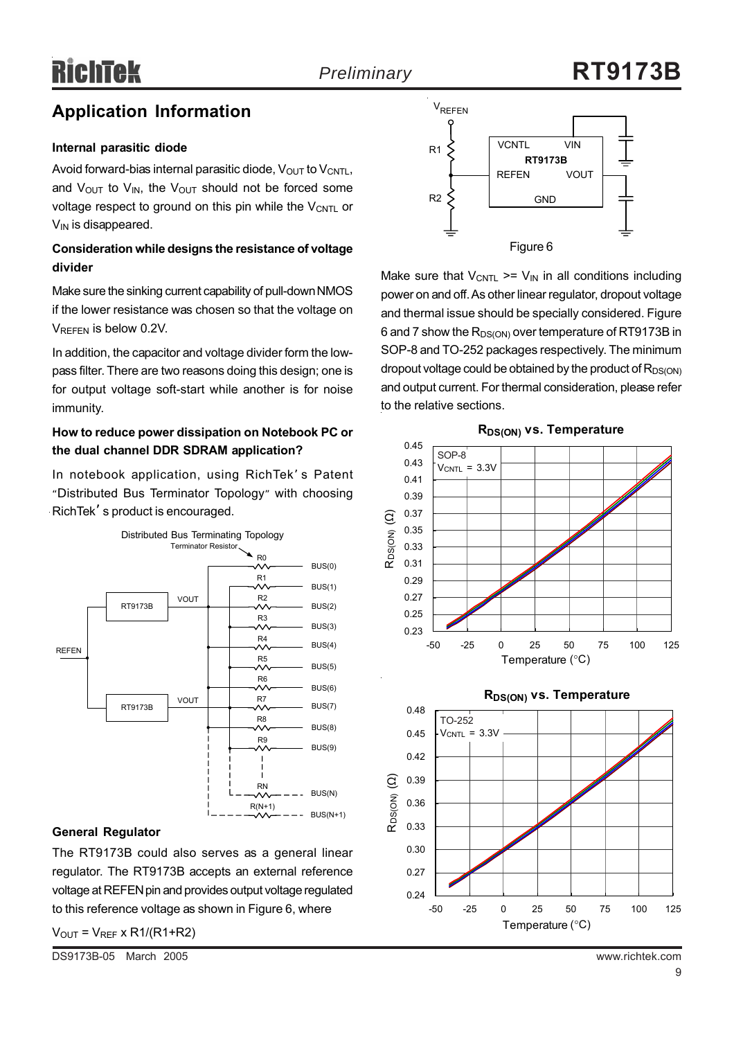# **Application Information**

#### **Internal parasitic diode**

Avoid forward-bias internal parasitic diode,  $V_{\text{OUT}}$  to  $V_{\text{CNTL}}$ , and  $V_{\text{OUT}}$  to  $V_{\text{IN}}$ , the  $V_{\text{OUT}}$  should not be forced some voltage respect to ground on this pin while the  $V_{\text{CNTL}}$  or  $V_{IN}$  is disappeared.

#### **Consideration while designs the resistance of voltage divider**

Make sure the sinking current capability of pull-down NMOS if the lower resistance was chosen so that the voltage on VREFEN is below 0.2V.

In addition, the capacitor and voltage divider form the lowpass filter. There are two reasons doing this design; one is for output voltage soft-start while another is for noise immunity.

#### **How to reduce power dissipation on Notebook PC or the dual channel DDR SDRAM application?**

In notebook application, using RichTek' s Patent "Distributed Bus Terminator Topology" with choosing RichTek' s product is encouraged.



#### **General Regulator**

The RT9173B could also serves as a general linear regulator. The RT9173B accepts an external reference voltage at REFEN pin and provides output voltage regulated to this reference voltage as shown in Figure 6, where

 $V<sub>OUT</sub> = V<sub>REF</sub> x R1/(R1+R2)$ 



Make sure that  $V_{\text{CNTL}}$  >=  $V_{\text{IN}}$  in all conditions including power on and off. As other linear regulator, dropout voltage and thermal issue should be specially considered. Figure 6 and 7 show the  $R_{DS(ON)}$  over temperature of RT9173B in SOP-8 and TO-252 packages respectively. The minimum dropout voltage could be obtained by the product of  $R_{DS(ON)}$ and output current. For thermal consideration, please refer to the relative sections.





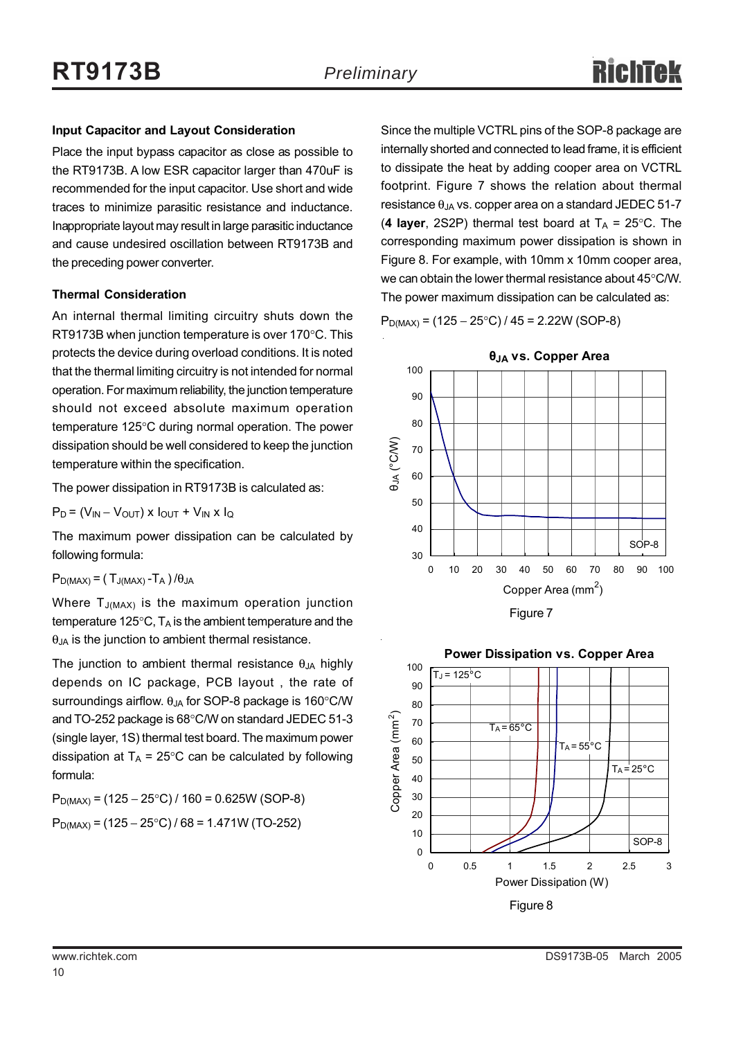#### **Input Capacitor and Layout Consideration**

Place the input bypass capacitor as close as possible to the RT9173B. A low ESR capacitor larger than 470uF is recommended for the input capacitor. Use short and wide traces to minimize parasitic resistance and inductance. Inappropriate layout may result in large parasitic inductance and cause undesired oscillation between RT9173B and the preceding power converter.

#### **Thermal Consideration**

An internal thermal limiting circuitry shuts down the RT9173B when junction temperature is over 170°C. This protects the device during overload conditions. It is noted that the thermal limiting circuitry is not intended for normal operation. For maximum reliability, the junction temperature should not exceed absolute maximum operation temperature 125°C during normal operation. The power dissipation should be well considered to keep the junction temperature within the specification.

The power dissipation in RT9173B is calculated as:

 $P_D = (V_{IN} - V_{OUT}) \times I_{OUT} + V_{IN} \times I_Q$ 

The maximum power dissipation can be calculated by following formula:

 $P_{D(MAX)} = (T_{J(MAX)} - T_A) / \theta_{JA}$ 

Where  $T_{J(MAX)}$  is the maximum operation junction temperature 125 $\degree$ C, T<sub>A</sub> is the ambient temperature and the  $\theta_{JA}$  is the junction to ambient thermal resistance.

The junction to ambient thermal resistance  $\theta_{JA}$  highly depends on IC package, PCB layout , the rate of surroundings airflow.  $\theta_{JA}$  for SOP-8 package is 160 $\degree$ C/W and TO-252 package is 68°C/W on standard JEDEC 51-3 (single layer, 1S) thermal test board. The maximum power dissipation at  $T_A = 25^{\circ}$ C can be calculated by following formula:

 $P_{D(MAX)} = (125 - 25^{\circ}C)/160 = 0.625W (SOP-8)$  $P_{D(MAX)} = (125 - 25^{\circ}C)/68 = 1.471W (TO-252)$ 

Since the multiple VCTRL pins of the SOP-8 package are internally shorted and connected to lead frame, it is efficient to dissipate the heat by adding cooper area on VCTRL footprint. Figure 7 shows the relation about thermal resistance  $\theta_{JA}$  vs. copper area on a standard JEDEC 51-7 (4 layer, 2S2P) thermal test board at  $T_A = 25^{\circ}$ C. The corresponding maximum power dissipation is shown in Figure 8. For example, with 10mm x 10mm cooper area, we can obtain the lower thermal resistance about 45°C/W. The power maximum dissipation can be calculated as:

 $P_{D(MAX)} = (125 - 25^{\circ}C)/45 = 2.22W (SOP-8)$ 



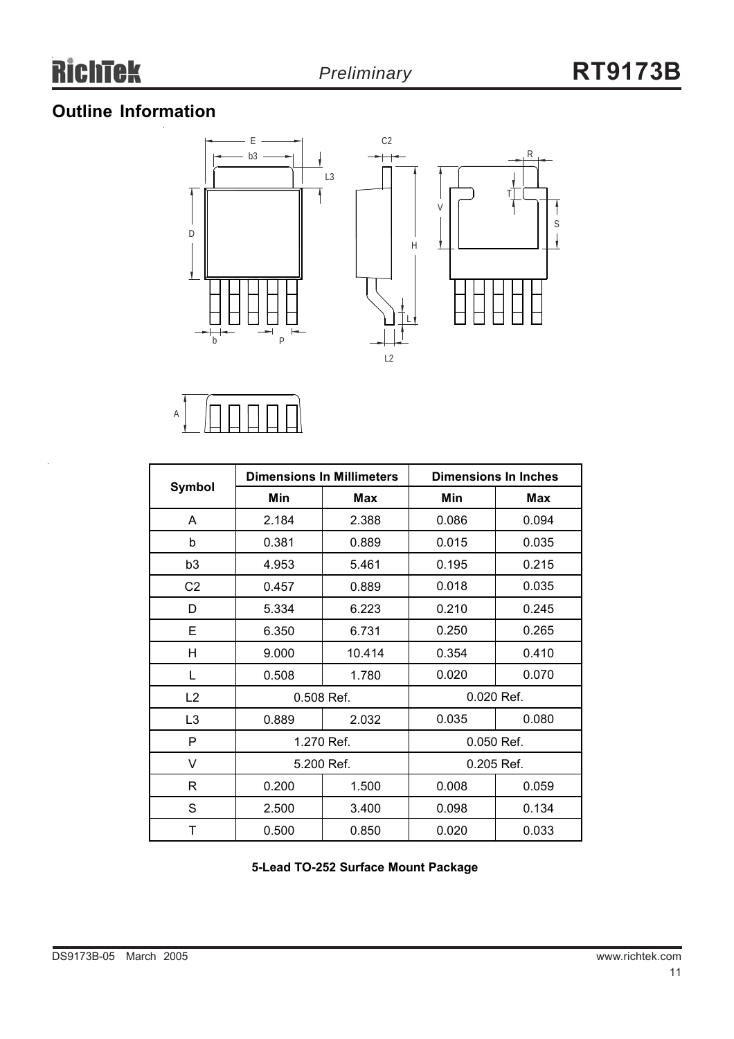J.

# **Outline Information**





| <b>Symbol</b>  |                          | <b>Dimensions In Millimeters</b> | <b>Dimensions In Inches</b> |            |  |
|----------------|--------------------------|----------------------------------|-----------------------------|------------|--|
|                | Min                      | Max                              | Min                         | <b>Max</b> |  |
| A              | 2.184                    | 2.388                            | 0.086                       | 0.094      |  |
| b              | 0.381                    | 0.889                            | 0.015                       | 0.035      |  |
| b <sub>3</sub> | 4.953                    | 5.461                            | 0.195                       | 0.215      |  |
| C <sub>2</sub> | 0.457                    | 0.889                            | 0.018                       | 0.035      |  |
| D              | 5.334                    | 6.223                            | 0.210                       | 0.245      |  |
| E              | 6.350                    | 6.731                            | 0.250                       | 0.265      |  |
| н              | 9.000                    | 10.414                           | 0.354                       | 0.410      |  |
| L              | 0.508                    | 1.780                            | 0.020                       | 0.070      |  |
| L2             | 0.020 Ref.<br>0.508 Ref. |                                  |                             |            |  |
| L <sub>3</sub> | 0.889                    | 2.032                            | 0.035                       | 0.080      |  |
| P              | 1.270 Ref.               |                                  |                             | 0.050 Ref. |  |
| V              | 5.200 Ref.               |                                  |                             | 0.205 Ref. |  |
| R              | 0.200                    | 1.500                            | 0.008                       | 0.059      |  |
| S              | 2.500                    | 3.400                            | 0.098                       | 0.134      |  |
| Τ              | 0.500                    | 0.850                            | 0.020                       | 0.033      |  |

**5-Lead TO-252 Surface Mount Package**